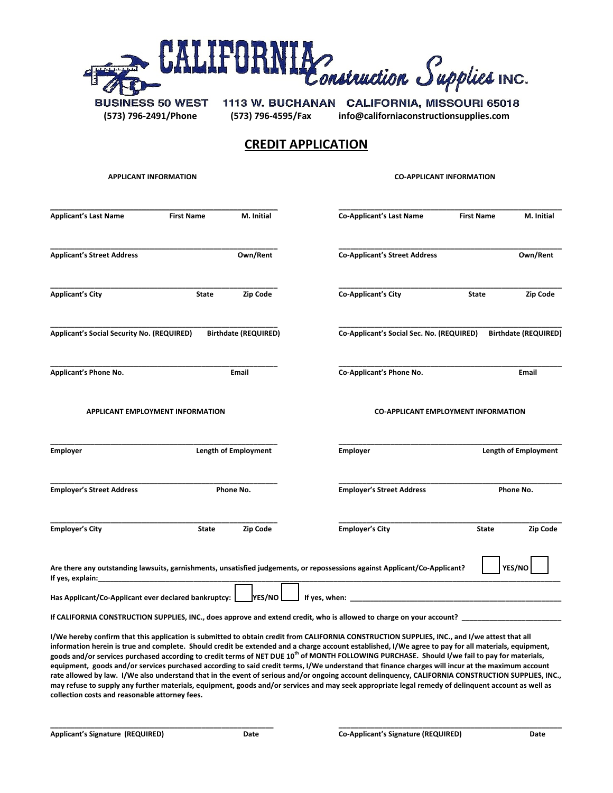

**(573) 796-2491/Phone (573) 796-4595/Fax info@californiaconstructionsupplies.com**

## **CREDIT APPLICATION**

| <b>APPLICANT INFORMATION</b>                         |                             |            | <b>CO-APPLICANT INFORMATION</b>           |                                                                                                                                                                                                                                                                                                       |                             |                             |
|------------------------------------------------------|-----------------------------|------------|-------------------------------------------|-------------------------------------------------------------------------------------------------------------------------------------------------------------------------------------------------------------------------------------------------------------------------------------------------------|-----------------------------|-----------------------------|
| <b>Applicant's Last Name</b>                         | <b>First Name</b>           | M. Initial |                                           | <b>Co-Applicant's Last Name</b>                                                                                                                                                                                                                                                                       | <b>First Name</b>           | M. Initial                  |
| <b>Applicant's Street Address</b>                    |                             | Own/Rent   |                                           | <b>Co-Applicant's Street Address</b>                                                                                                                                                                                                                                                                  |                             | Own/Rent                    |
| <b>Applicant's City</b>                              | <b>State</b>                | Zip Code   |                                           | <b>Co-Applicant's City</b>                                                                                                                                                                                                                                                                            | <b>State</b>                | Zip Code                    |
| Applicant's Social Security No. (REQUIRED)           | <b>Birthdate (REQUIRED)</b> |            | Co-Applicant's Social Sec. No. (REQUIRED) |                                                                                                                                                                                                                                                                                                       | <b>Birthdate (REQUIRED)</b> |                             |
| Applicant's Phone No.                                | Email                       |            |                                           | Co-Applicant's Phone No.                                                                                                                                                                                                                                                                              |                             | Email                       |
| <b>APPLICANT EMPLOYMENT INFORMATION</b>              |                             |            |                                           | <b>CO-APPLICANT EMPLOYMENT INFORMATION</b>                                                                                                                                                                                                                                                            |                             |                             |
| <b>Employer</b>                                      | <b>Length of Employment</b> |            |                                           | <b>Employer</b>                                                                                                                                                                                                                                                                                       |                             | <b>Length of Employment</b> |
| <b>Employer's Street Address</b>                     | Phone No.                   |            |                                           | <b>Employer's Street Address</b>                                                                                                                                                                                                                                                                      |                             | Phone No.                   |
| <b>Employer's City</b>                               | State                       | Zip Code   |                                           | <b>Employer's City</b>                                                                                                                                                                                                                                                                                | <b>State</b>                | Zip Code                    |
| If yes, explain: $\sqrt{ }$                          |                             |            |                                           | Are there any outstanding lawsuits, garnishments, unsatisfied judgements, or repossessions against Applicant/Co-Applicant?                                                                                                                                                                            |                             | YES/NO                      |
| Has Applicant/Co-Applicant ever declared bankruptcy: |                             | YES/NO     | If yes, when:                             |                                                                                                                                                                                                                                                                                                       |                             |                             |
|                                                      |                             |            |                                           | If CALIFORNIA CONSTRUCTION SUPPLIES, INC., does approve and extend credit, who is allowed to charge on your account?                                                                                                                                                                                  |                             |                             |
|                                                      |                             |            |                                           | I/We hereby confirm that this application is submitted to obtain credit from CALIFORNIA CONSTRUCTION SUPPLIES, INC., and I/we attest that all<br>information herein is true and complete. Should credit be extended and a charge account established. I/We agree to pay for all materials, equipment, |                             |                             |

**information herein is true and complete. Should credit be extended and a charge account established, I/We agree to pay for all materials, equipment, goods and/or services purchased according to credit terms of NET DUE 10th of MONTH FOLLOWING PURCHASE. Should I/we fail to pay for materials, equipment, goods and/or services purchased according to said credit terms, I/We understand that finance charges will incur at the maximum account rate allowed by law. I/We also understand that in the event of serious and/or ongoing account delinquency, CALIFORNIA CONSTRUCTION SUPPLIES, INC., may refuse to supply any further materials, equipment, goods and/or services and may seek appropriate legal remedy of delinquent account as well as collection costs and reasonable attorney fees.**